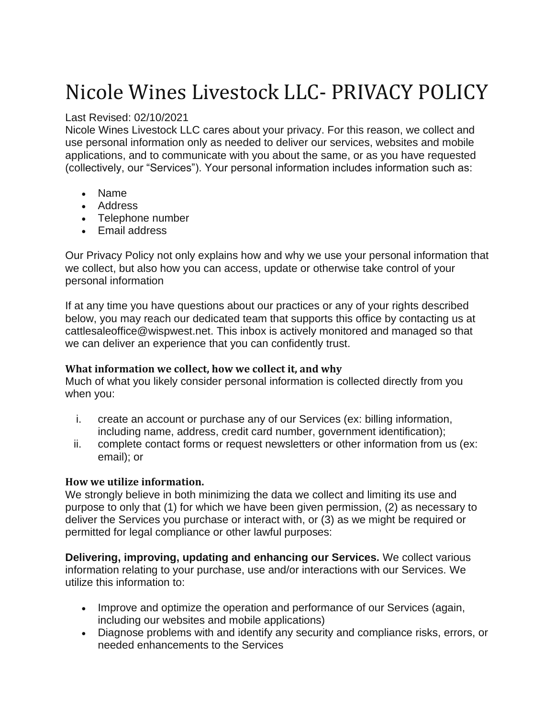# Nicole Wines Livestock LLC- PRIVACY POLICY

### Last Revised: 02/10/2021

Nicole Wines Livestock LLC cares about your privacy. For this reason, we collect and use personal information only as needed to deliver our services, websites and mobile applications, and to communicate with you about the same, or as you have requested (collectively, our "Services"). Your personal information includes information such as:

- Name
- Address
- Telephone number
- Email address

Our Privacy Policy not only explains how and why we use your personal information that we collect, but also how you can access, update or otherwise take control of your personal information

If at any time you have questions about our practices or any of your rights described below, you may reach our dedicated team that supports this office by contacting us at cattlesaleoffice@wispwest.net. This inbox is actively monitored and managed so that we can deliver an experience that you can confidently trust.

## **What information we collect, how we collect it, and why**

Much of what you likely consider personal information is collected directly from you when you:

- i. create an account or purchase any of our Services (ex: billing information, including name, address, credit card number, government identification);
- ii. complete contact forms or request newsletters or other information from us (ex: email); or

## **How we utilize information.**

We strongly believe in both minimizing the data we collect and limiting its use and purpose to only that (1) for which we have been given permission, (2) as necessary to deliver the Services you purchase or interact with, or (3) as we might be required or permitted for legal compliance or other lawful purposes:

**Delivering, improving, updating and enhancing our Services.** We collect various information relating to your purchase, use and/or interactions with our Services. We utilize this information to:

- Improve and optimize the operation and performance of our Services (again, including our websites and mobile applications)
- Diagnose problems with and identify any security and compliance risks, errors, or needed enhancements to the Services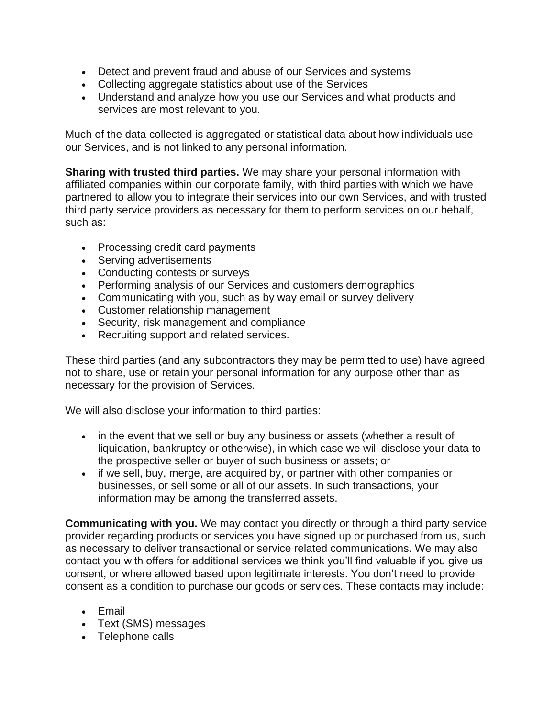- Detect and prevent fraud and abuse of our Services and systems
- Collecting aggregate statistics about use of the Services
- Understand and analyze how you use our Services and what products and services are most relevant to you.

Much of the data collected is aggregated or statistical data about how individuals use our Services, and is not linked to any personal information.

**Sharing with trusted third parties.** We may share your personal information with affiliated companies within our corporate family, with third parties with which we have partnered to allow you to integrate their services into our own Services, and with trusted third party service providers as necessary for them to perform services on our behalf, such as:

- Processing credit card payments
- Serving advertisements
- Conducting contests or surveys
- Performing analysis of our Services and customers demographics
- Communicating with you, such as by way email or survey delivery
- Customer relationship management
- Security, risk management and compliance
- Recruiting support and related services.

These third parties (and any subcontractors they may be permitted to use) have agreed not to share, use or retain your personal information for any purpose other than as necessary for the provision of Services.

We will also disclose your information to third parties:

- in the event that we sell or buy any business or assets (whether a result of liquidation, bankruptcy or otherwise), in which case we will disclose your data to the prospective seller or buyer of such business or assets; or
- if we sell, buy, merge, are acquired by, or partner with other companies or businesses, or sell some or all of our assets. In such transactions, your information may be among the transferred assets.

**Communicating with you.** We may contact you directly or through a third party service provider regarding products or services you have signed up or purchased from us, such as necessary to deliver transactional or service related communications. We may also contact you with offers for additional services we think you'll find valuable if you give us consent, or where allowed based upon legitimate interests. You don't need to provide consent as a condition to purchase our goods or services. These contacts may include:

- Email
- Text (SMS) messages
- Telephone calls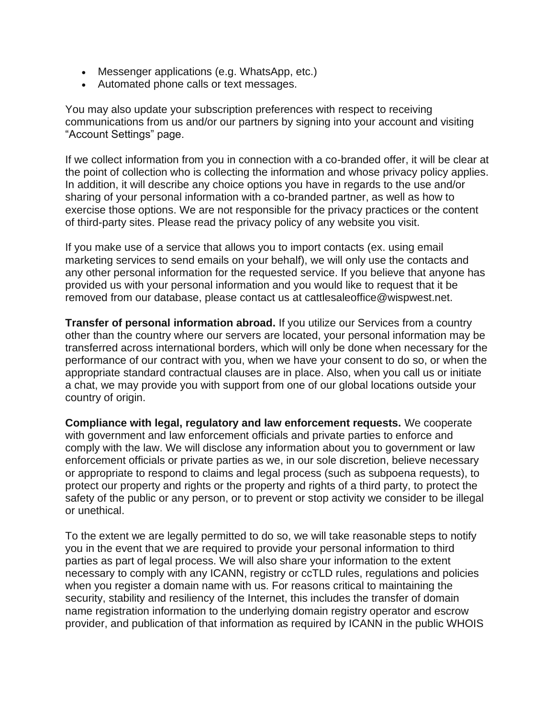- Messenger applications (e.g. WhatsApp, etc.)
- Automated phone calls or text messages.

You may also update your subscription preferences with respect to receiving communications from us and/or our partners by signing into your account and visiting "Account Settings" page.

If we collect information from you in connection with a co-branded offer, it will be clear at the point of collection who is collecting the information and whose privacy policy applies. In addition, it will describe any choice options you have in regards to the use and/or sharing of your personal information with a co-branded partner, as well as how to exercise those options. We are not responsible for the privacy practices or the content of third-party sites. Please read the privacy policy of any website you visit.

If you make use of a service that allows you to import contacts (ex. using email marketing services to send emails on your behalf), we will only use the contacts and any other personal information for the requested service. If you believe that anyone has provided us with your personal information and you would like to request that it be removed from our database, please contact us at cattlesaleoffice@wispwest.net.

**Transfer of personal information abroad.** If you utilize our Services from a country other than the country where our servers are located, your personal information may be transferred across international borders, which will only be done when necessary for the performance of our contract with you, when we have your consent to do so, or when the appropriate standard contractual clauses are in place. Also, when you call us or initiate a chat, we may provide you with support from one of our global locations outside your country of origin.

**Compliance with legal, regulatory and law enforcement requests.** We cooperate with government and law enforcement officials and private parties to enforce and comply with the law. We will disclose any information about you to government or law enforcement officials or private parties as we, in our sole discretion, believe necessary or appropriate to respond to claims and legal process (such as subpoena requests), to protect our property and rights or the property and rights of a third party, to protect the safety of the public or any person, or to prevent or stop activity we consider to be illegal or unethical.

To the extent we are legally permitted to do so, we will take reasonable steps to notify you in the event that we are required to provide your personal information to third parties as part of legal process. We will also share your information to the extent necessary to comply with any ICANN, registry or ccTLD rules, regulations and policies when you register a domain name with us. For reasons critical to maintaining the security, stability and resiliency of the Internet, this includes the transfer of domain name registration information to the underlying domain registry operator and escrow provider, and publication of that information as required by ICANN in the public WHOIS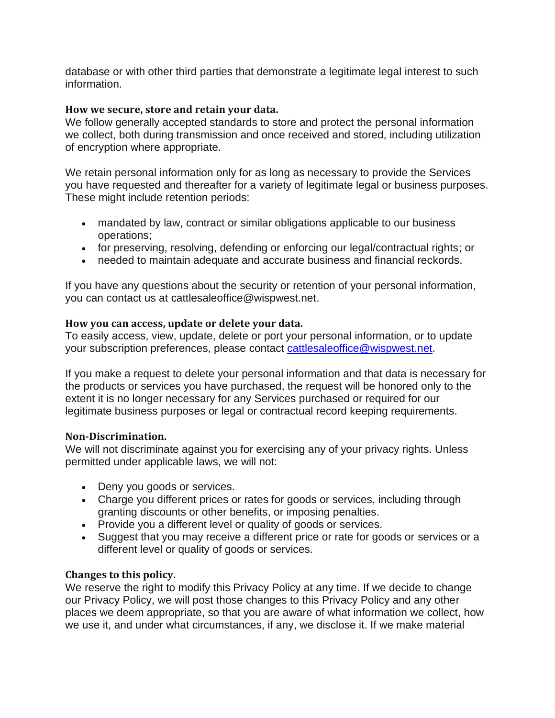database or with other third parties that demonstrate a legitimate legal interest to such information.

#### **How we secure, store and retain your data.**

We follow generally accepted standards to store and protect the personal information we collect, both during transmission and once received and stored, including utilization of encryption where appropriate.

We retain personal information only for as long as necessary to provide the Services you have requested and thereafter for a variety of legitimate legal or business purposes. These might include retention periods:

- mandated by law, contract or similar obligations applicable to our business operations;
- for preserving, resolving, defending or enforcing our legal/contractual rights; or
- needed to maintain adequate and accurate business and financial reckords.

If you have any questions about the security or retention of your personal information, you can contact us at cattlesaleoffice@wispwest.net.

#### **How you can access, update or delete your data.**

To easily access, view, update, delete or port your personal information, or to update your subscription preferences, please contact [cattlesaleoffice@wispwest.net.](mailto:cattlesaleoffice@wispwest.net)

If you make a request to delete your personal information and that data is necessary for the products or services you have purchased, the request will be honored only to the extent it is no longer necessary for any Services purchased or required for our legitimate business purposes or legal or contractual record keeping requirements.

#### **Non-Discrimination.**

We will not discriminate against you for exercising any of your privacy rights. Unless permitted under applicable laws, we will not:

- Deny you goods or services.
- Charge you different prices or rates for goods or services, including through granting discounts or other benefits, or imposing penalties.
- Provide you a different level or quality of goods or services.
- Suggest that you may receive a different price or rate for goods or services or a different level or quality of goods or services.

#### **Changes to this policy.**

We reserve the right to modify this Privacy Policy at any time. If we decide to change our Privacy Policy, we will post those changes to this Privacy Policy and any other places we deem appropriate, so that you are aware of what information we collect, how we use it, and under what circumstances, if any, we disclose it. If we make material